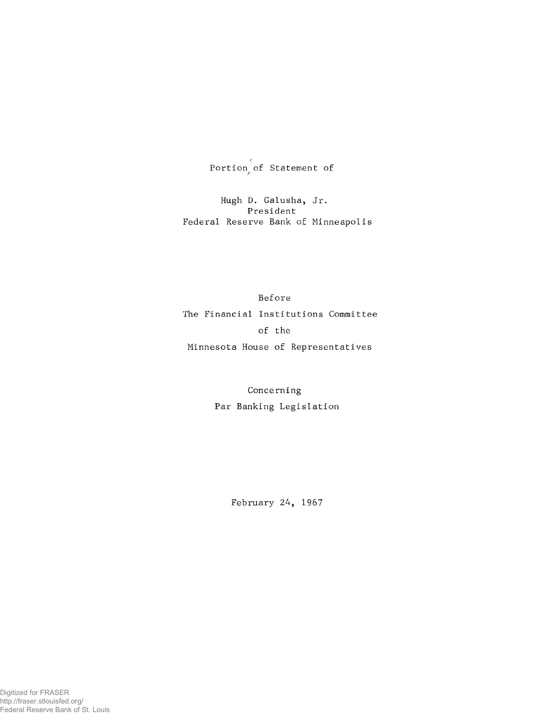${\tt Portfolio\_of}$  Statement of

Hugh D. Galusha, Jr. President Federal Reserve Bank of Minneapolis

Before The Financial Institutions Committee of the Minnesota House of Representatives

> Concerning Par Banking Legislation

> > February 24, 1967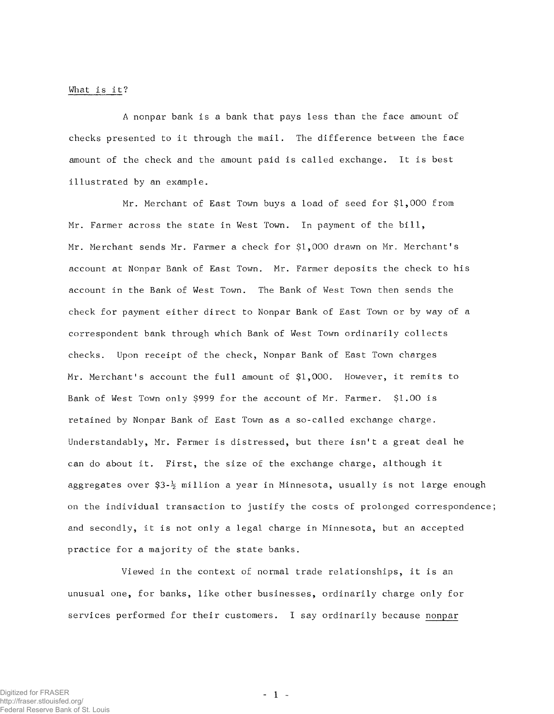## What is it?

A nonpar bank is a bank that pays less than the face amount of checks presented to it through the mail. The difference between the face amount of the check and the amount paid is called exchange. It is best illustrated by an example.

Mr. Merchant of East Town buys a load of seed for \$1,000 from Mr. Farmer across the state in West Town. In payment of the bill, Mr. Merchant sends Mr. Farmer a check for \$1,000 drawn on Mr. Merchant's account at Nonpar Bank of East Town. Mr. Farmer deposits the check to his account in the Bank of West Town. The Bank of West Town then sends the check for payment either direct to Nonpar Bank of East Town or by way of a correspondent bank through which Bank of West Town ordinarily collects checks. Upon receipt of the check, Nonpar Bank of East Town charges Mr. Merchant's account the full amount of  $$1,000$ . However, it remits to Bank of West Town only \$999 for the account of Mr. Farmer. \$1.00 is retained by Nonpar Bank of East Town as a so-called exchange charge. Understandably, Mr. Farmer is distressed, but there isn't a great deal he can do about it. First, the size of the exchange charge, although it aggregates over  $$3-\frac{1}{2}$  million a year in Minnesota, usually is not large enough on the individual transaction to justify the costs of prolonged correspondence; and secondly, it is not only a legal charge in Minnesota, but an accepted practice for a majority of the state banks.

Viewed in the context of normal trade relationships, it is an unusual one, for banks, like other businesses, ordinarily charge only for services performed for their customers. I say ordinarily because nonpar

 $-1 -$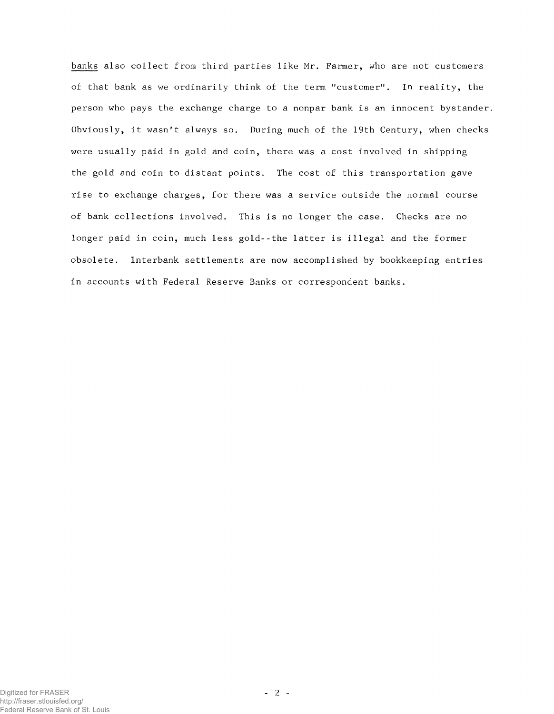banks also collect from third parties like Mr. Farmer, who are not customers of that bank as we ordinarily think of the term "customer". In reality, the person who pays the exchange charge to a nonpar bank is an innocent bystander. Obviously, it wasn't always so. During much of the 19th Century, when checks were usually paid in gold and coin, there was a cost involved in shipping the gold and coin to distant points. The cost of this transportation gave rise to exchange charges, for there was a service outside the normal course of bank collections involved. This is no longer the case. Checks are no longer paid in coin, much less gold--the latter is illegal and the former obsolete. Interbank settlements are now accomplished by bookkeeping entries in accounts with Federal Reserve Banks or correspondent banks.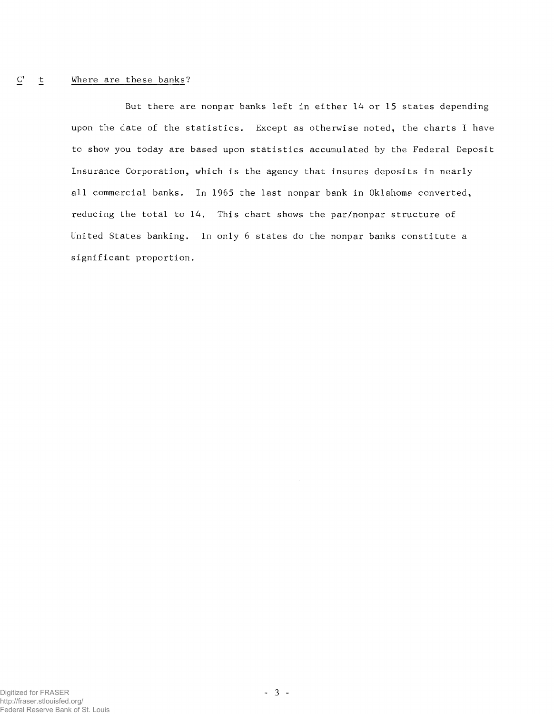#### Where are these banks?  $\overline{C}$  $\mathbf{\underline{t}}$

But there are nonpar banks left in either 14 or 15 states depending upon the date of the statistics. Except as otherwise noted, the charts I have to show you today are based upon statistics accumulated by the Federal Deposit Insurance Corporation, which is the agency that insures deposits in nearly all commercial banks. In 1965 the last nonpar bank in Oklahoma converted, reducing the total to  $14$ . This chart shows the par/nonpar structure of United States banking. In only 6 states do the nonpar banks constitute a significant proportion.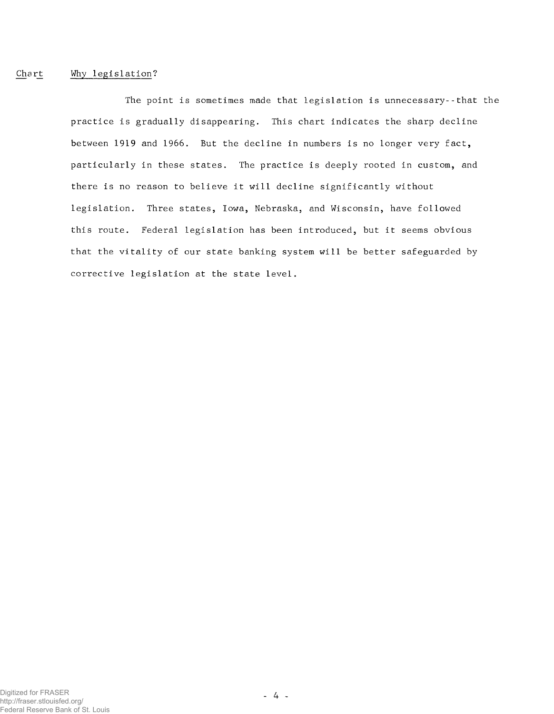# Chart Why legislation?

The point is sometimes made that legislation is unnecessary--that the practice is gradually disappearing. This chart indicates the sharp decline between 1919 and 1966. But the decline in numbers is no longer very fact, particularly in these states. The practice is deeply rooted in custom, and there is no reason to believe it will decline significantly without legislation. Three states, Iowa, Nebraska, and Wisconsin, have followed this route. Federal legislation has been introduced, but it seems obvious that the vitality of our state banking system will be better safeguarded by corrective legislation at the state level.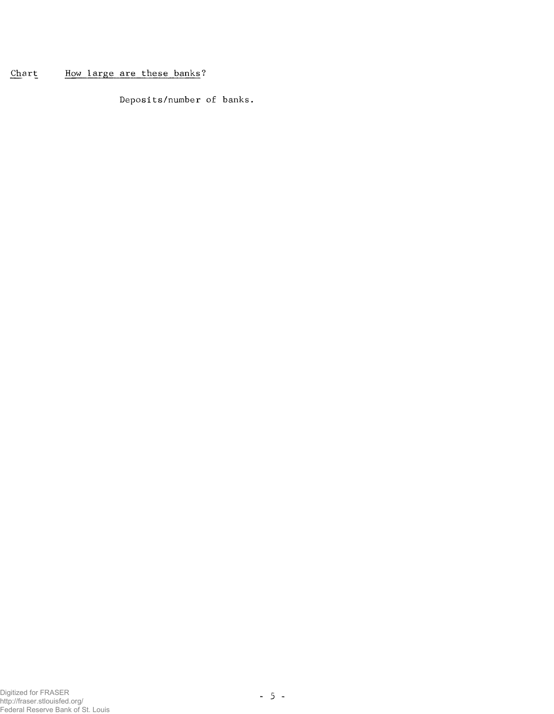#### Chart How large are these banks?

Deposits/number of banks.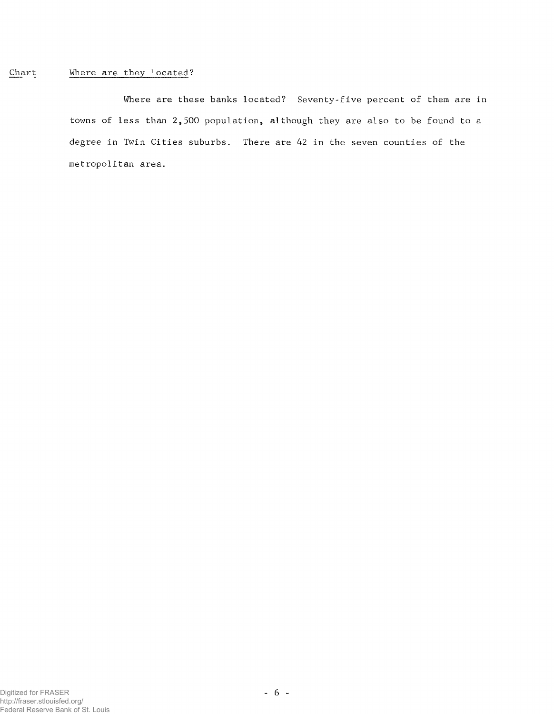#### Chart Where are they located?

Where are these banks located? Seventy-five percent of them are in towns of less than 2,500 population, although they are also to be found to a degree in Twin Cities suburbs. There are 42 in the seven counties of the metropolitan area.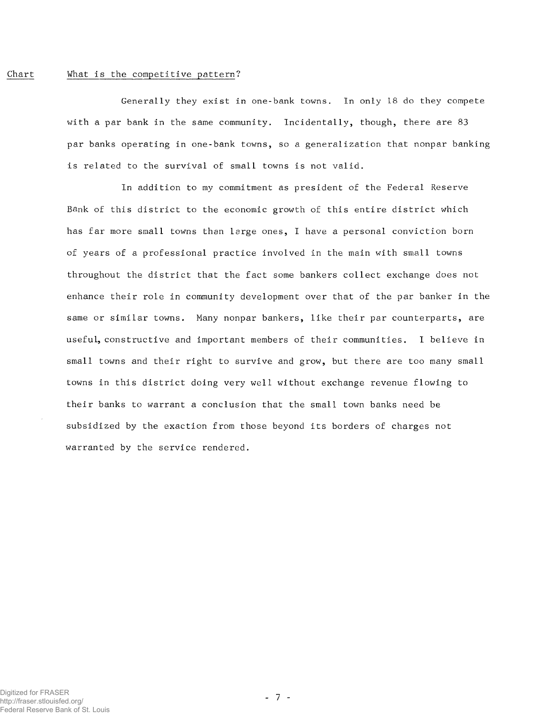### Chart What is the competitive pattern?

Generally they exist in one-bank towns. In only 18 do they compete with a par bank in the same community. Incidentally, though, there are 83 par banks operating in one-bank towns, so a generalization that nonpar banking is related to the survival of small towns is not valid.

In addition to my commitment as president of the Federal Reserve Bank of this district to the economic growth of this entire district which has far more small towns than large ones, I have a personal conviction born of years of a professional practice involved in the main with small towns throughout the district that the fact some bankers collect exchange does not enhance their role in community development over that of the par banker in the same or similar towns. Many nonpar bankers, like their par counterparts, are useful, constructive and important members of their communities. I believe in small towns and their right to survive and grow, but there are too many small towns in this district doing very well without exchange revenue flowing to their banks to warrant a conclusion that the small town banks need be subsidized by the exaction from those beyond its borders of charges not warranted by the service rendered.

- 7 -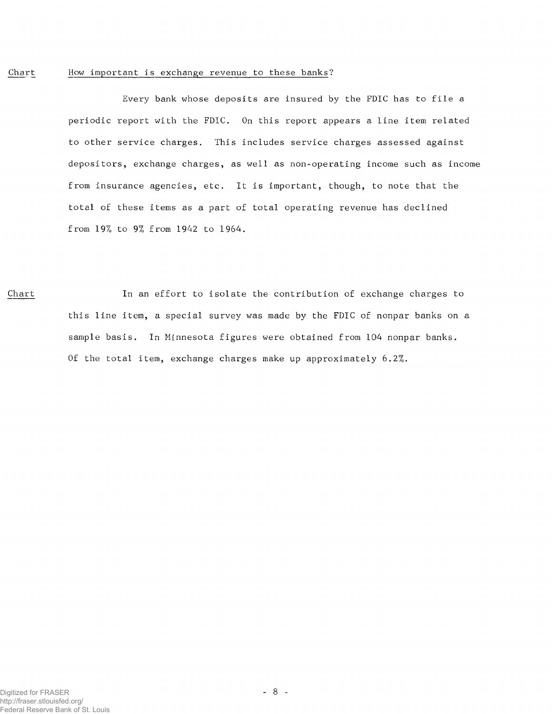#### Chart How important is exchange revenue to these banks?

Every bank whose deposits are insured by the FDIC has to file a periodic report with the FDIC. On this report appears a line item related to other service charges. This includes service charges assessed against depositors, exchange charges, as well as non-operating income such as income from insurance agencies, etc. It is important, though, to note that the total of these items as a part of total operating revenue has declined from 19% to 9% from 1942 to 1964.

Chart In an effort to isolate the contribution of exchange charges to this line item, a special survey was made by the FDIC of nonpar banks on a sample basis. In Minnesota figures were obtained from 104 nonpar banks. Of the total item, exchange charges make up approximately 6.2%.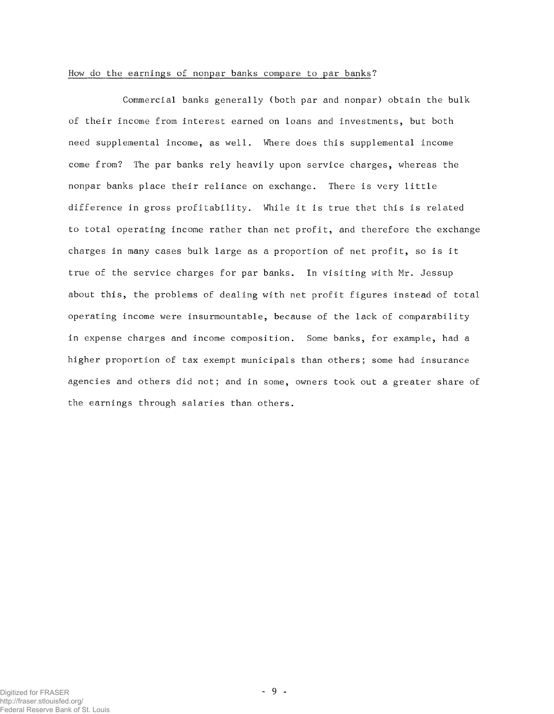### How do the earnings of nonpar banks compare to par banks?

Commercial banks generally (both par and nonpar) obtain the bulk of their income from interest earned on loans and investments, but both need supplemental income, as well. Where does this supplemental income come from? The par banks rely heavily upon service charges, whereas the nonpar banks place their reliance on exchange. There is very little difference in gross profitability. While it is true that this is related to total operating income rather than net profit, and therefore the exchange charges in many cases bulk large as a proportion of net profit, so is it true of the service charges for par banks. In visiting with Mr. Jessup about this, the problems of dealing with net profit figures instead of total operating income were insurmountable, because of the lack of comparability in expense charges and income composition. Some banks, for example, had a higher proportion of tax exempt municipals than others; some had insurance agencies and others did not; and in some, owners took out a greater share of the earnings through salaries than others.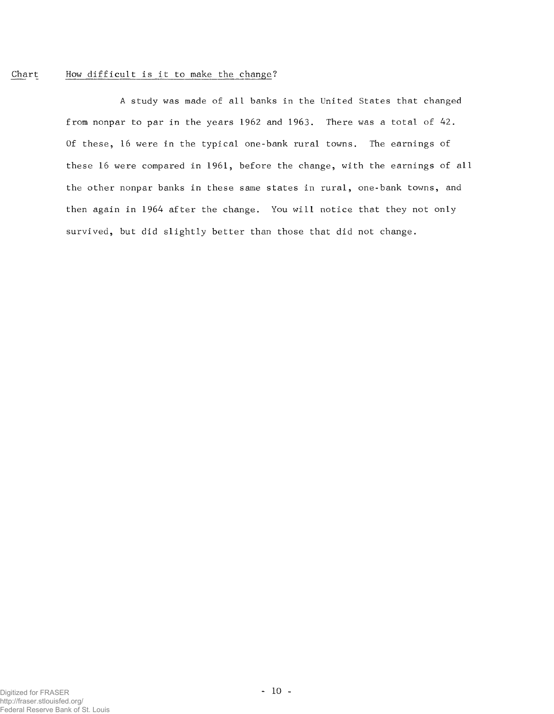# Chart How difficult is it to make the change?

A study was made of all banks in the United States that changed f rom nonpar to par in the years 1962 and 1963. There was a total of 42. Of these, 16 were in the typical one-bank rural towns. The earnings of these 16 were compared in 1961, before the change, with the earnings of all the other nonpar banks in these same states in rural, one-bank towns, and then again in 1964 after the change. You will notice that they not only survived, but did slightly better than those that did not change.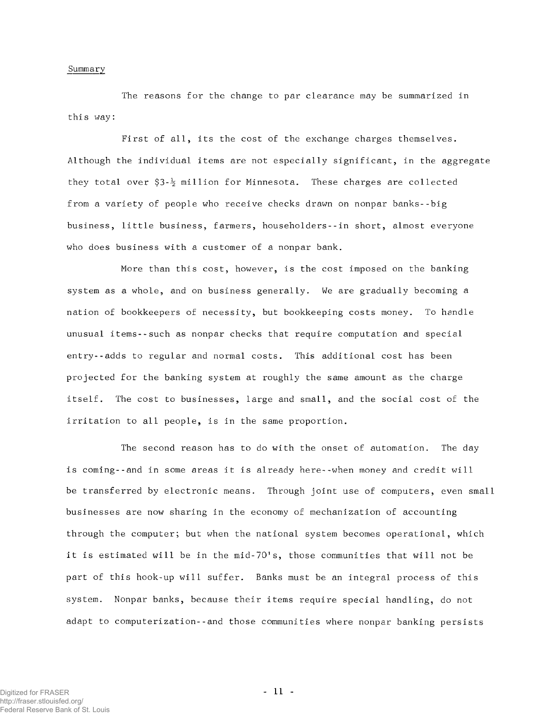#### Summary

The reasons for the change to par clearance may be summarized in this way:

First of all, its the cost of the exchange charges themselves. Although the individual items are not especially significant, in the aggregate they total over  $$3-\frac{1}{2}$  million for Minnesota. These charges are collected from a variety of people who receive checks drawn on nonpar banks--big business, little business, farmers, householders--in short, almost everyone who does business with a customer of a nonpar bank.

More than this cost, however, is the cost imposed on the banking system as a whole, and on business generally. We are gradually becoming a nation of bookkeepers of necessity, but bookkeeping costs money. To handle unusual items--such as nonpar checks that require computation and special entry--adds to regular and normal costs. This additional cost has been projected for the banking system at roughly the same amount as the charge itself. The cost to businesses, large and small, and the social cost of the irritation to all people, is in the same proportion.

The second reason has to do with the onset of automation. The day is coming--and in some areas it is already here--when money and credit will be transferred by electronic means. Through joint use of computers, even small businesses are now sharing in the economy of mechanization of accounting through the computer; but when the national system becomes operational, which it is estimated will be in the mid-70's, those communities that will not be part of this hook-up will suffer. Banks must be an integral process of this system. Nonpar banks, because their items require special handling, do not adapt to computerization--and those communities where nonpar banking persists

 $-11 -$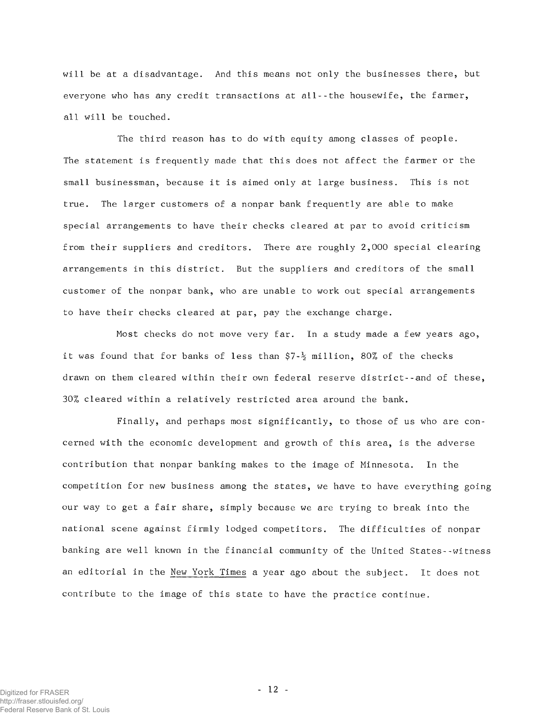will be at a disadvantage. And this means not only the businesses there, but everyone who has any credit transactions at all--the housewife, the farmer, all will be touched.

The third reason has to do with equity among classes of people. The statement is frequently made that this does not affect the farmer or the small businessman, because it is aimed only at large business. This is not true. The larger customers of a nonpar bank frequently are able to make special arrangements to have their checks cleared at par to avoid criticism from their suppliers and creditors. There are roughly 2,000 special clearing arrangements in this district. But the suppliers and creditors of the small customer of the nonpar bank, who are unable to work out special arrangements to have their checks cleared at par, pay the exchange charge.

Most checks do not move very far. In a study made a few years ago, it was found that for banks of less than  $$7-\frac{1}{2}$  million, 80% of the checks drawn on them cleared within their own federal reserve district--and of these, 30% cleared within a relatively restricted area around the bank.

Finally, and perhaps most significantly, to those of us who are concerned with the economic development and growth of this area, is the adverse contribution that nonpar banking makes to the image of Minnesota. In the competition for new business among the states, we have to have everything going our way to get a fair share, simply because we are trying to break into the national scene against firmly lodged competitors. The difficulties of nonpar banking are well known in the financial community of the United States--witness an editorial in the New York Times a year ago about the subject. It does not contribute to the image of this state to have the practice continue.

 $-12 -$